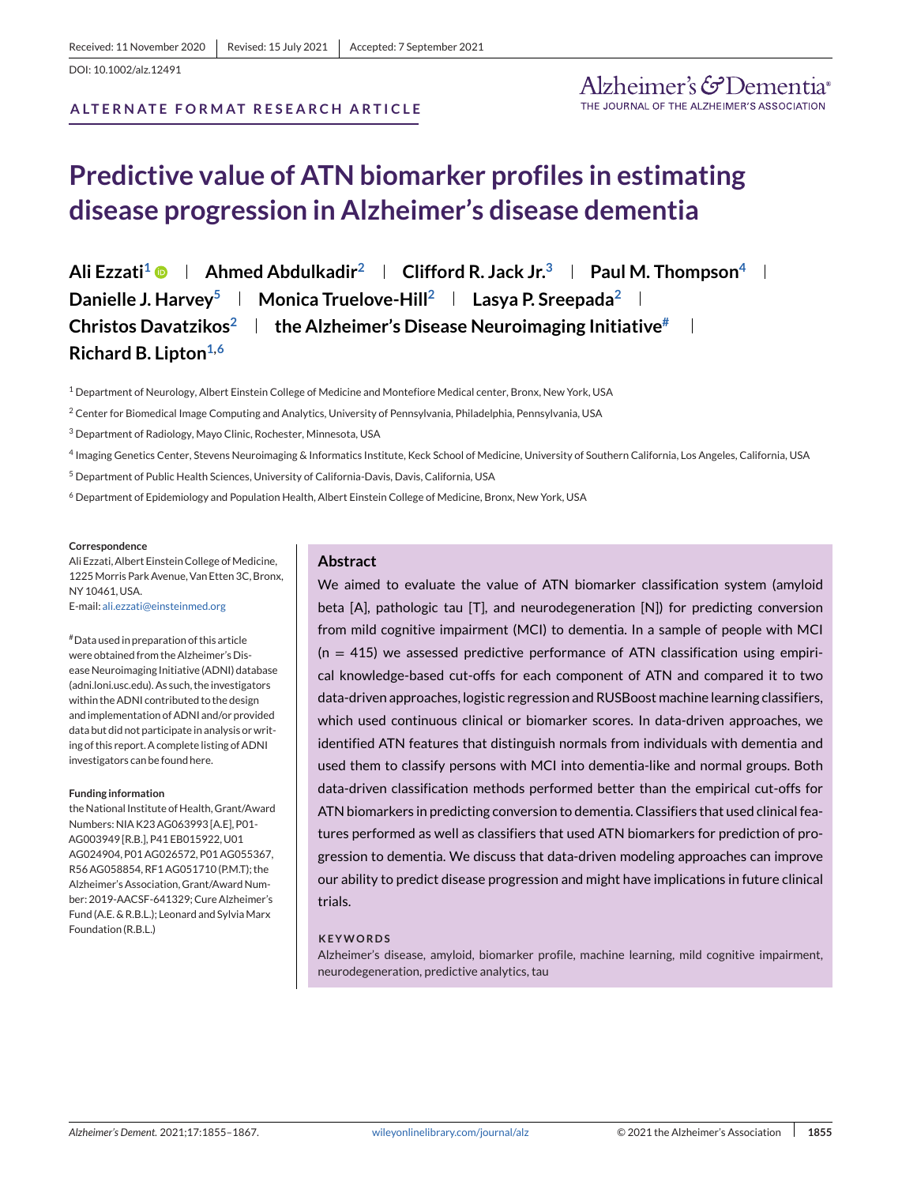DOI: 10.1002/alz.12491

**ALTERNATE FORMAT RESEARCH ARTICLE** 

# **Predictive value of ATN biomarker profiles in estimating disease progression in Alzheimer's disease dementia**

**Ali Ezzati1 Ahmed Abdulkadir2 Clifford R. Jack Jr.3 Paul M. Thompson4 Danielle J. Harvey<sup>5</sup> | Monica Truelove-Hill<sup>2</sup> | Lasya P. Sreepada<sup>2</sup> | Christos Davatzikos2 the Alzheimer's Disease Neuroimaging Initiative# Richard B. Lipton**<sup>1,6</sup>

<sup>1</sup> Department of Neurology, Albert Einstein College of Medicine and Montefiore Medical center, Bronx, New York, USA

<sup>3</sup> Department of Radiology, Mayo Clinic, Rochester, Minnesota, USA

- <sup>4</sup> Imaging Genetics Center, Stevens Neuroimaging & Informatics Institute, Keck School of Medicine, University of Southern California, Los Angeles, California, USA
- <sup>5</sup> Department of Public Health Sciences, University of California-Davis, Davis, California, USA

<sup>6</sup> Department of Epidemiology and Population Health, Albert Einstein College of Medicine, Bronx, New York, USA

#### **Correspondence**

Ali Ezzati, Albert Einstein College of Medicine, 1225Morris Park Avenue, Van Etten 3C, Bronx, NY 10461, USA. E-mail: [ali.ezzati@einsteinmed.org](mailto:ali.ezzati@einsteinmed.org)

#Data used in preparation of this article were obtained from the Alzheimer's Disease Neuroimaging Initiative (ADNI) database (adni.loni.usc.edu). As such, the investigators within the ADNI contributed to the design and implementation of ADNI and/or provided data but did not participate in analysis or writing of this report. A complete listing of ADNI investigators can be found here.

#### **Funding information**

the National Institute of Health, Grant/Award Numbers: NIA K23 AG063993 [A.E], P01- AG003949 [R.B.], P41 EB015922, U01 AG024904, P01 AG026572, P01 AG055367, R56 AG058854, RF1 AG051710 (P.M.T); the Alzheimer's Association, Grant/Award Number: 2019-AACSF-641329; Cure Alzheimer's Fund (A.E. & R.B.L.); Leonard and SylviaMarx Foundation (R.B.L.)

#### **Abstract**

We aimed to evaluate the value of ATN biomarker classification system (amyloid beta [A], pathologic tau [T], and neurodegeneration [N]) for predicting conversion from mild cognitive impairment (MCI) to dementia. In a sample of people with MCI  $(n = 415)$  we assessed predictive performance of ATN classification using empirical knowledge-based cut-offs for each component of ATN and compared it to two data-driven approaches, logistic regression and RUSBoost machine learning classifiers, which used continuous clinical or biomarker scores. In data-driven approaches, we identified ATN features that distinguish normals from individuals with dementia and used them to classify persons with MCI into dementia-like and normal groups. Both data-driven classification methods performed better than the empirical cut-offs for ATN biomarkers in predicting conversion to dementia. Classifiers that used clinical features performed as well as classifiers that used ATN biomarkers for prediction of progression to dementia. We discuss that data-driven modeling approaches can improve our ability to predict disease progression and might have implications in future clinical trials.

#### **KEYWORDS**

Alzheimer's disease, amyloid, biomarker profile, machine learning, mild cognitive impairment, neurodegeneration, predictive analytics, tau

<sup>&</sup>lt;sup>2</sup> Center for Biomedical Image Computing and Analytics, University of Pennsylvania, Philadelphia, Pennsylvania, USA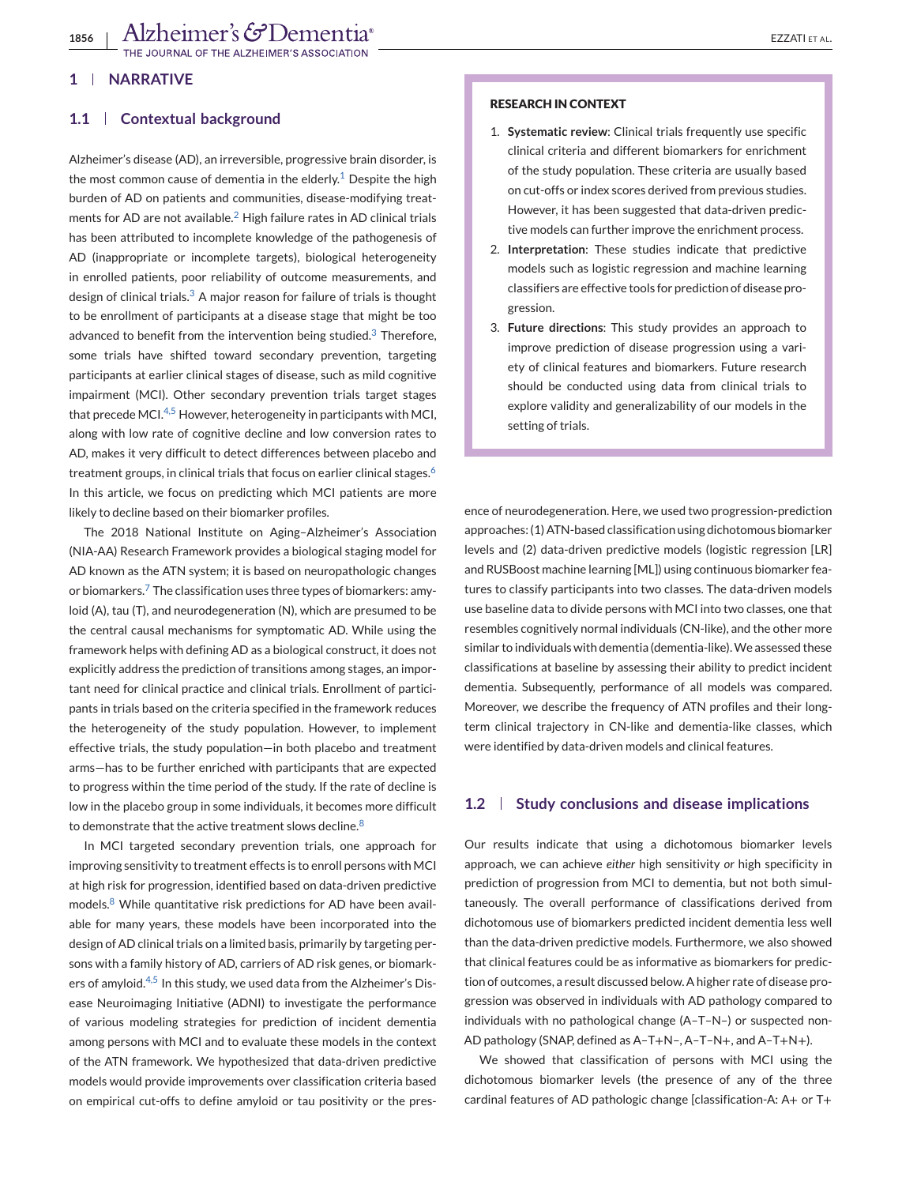## **1 NARRATIVE**

#### **1.1 Contextual background**

Alzheimer's disease (AD), an irreversible, progressive brain disorder, is the most common cause of dementia in the elderly.<sup>[1](#page-11-0)</sup> Despite the high burden of AD on patients and communities, disease-modifying treatments for AD are not available. $<sup>2</sup>$  $<sup>2</sup>$  $<sup>2</sup>$  High failure rates in AD clinical trials</sup> has been attributed to incomplete knowledge of the pathogenesis of AD (inappropriate or incomplete targets), biological heterogeneity in enrolled patients, poor reliability of outcome measurements, and design of clinical trials. $3$  A major reason for failure of trials is thought to be enrollment of participants at a disease stage that might be too advanced to benefit from the intervention being studied. $3$  Therefore, some trials have shifted toward secondary prevention, targeting participants at earlier clinical stages of disease, such as mild cognitive impairment (MCI). Other secondary prevention trials target stages that precede MCI.<sup>[4,5](#page-12-0)</sup> However, heterogeneity in participants with MCI, along with low rate of cognitive decline and low conversion rates to AD, makes it very difficult to detect differences between placebo and treatment groups, in clinical trials that focus on earlier clinical stages.<sup>[6](#page-12-0)</sup> In this article, we focus on predicting which MCI patients are more likely to decline based on their biomarker profiles.

The 2018 National Institute on Aging–Alzheimer's Association (NIA-AA) Research Framework provides a biological staging model for AD known as the ATN system; it is based on neuropathologic changes or biomarkers.<sup>[7](#page-12-0)</sup> The classification uses three types of biomarkers: amyloid (A), tau (T), and neurodegeneration (N), which are presumed to be the central causal mechanisms for symptomatic AD. While using the framework helps with defining AD as a biological construct, it does not explicitly address the prediction of transitions among stages, an important need for clinical practice and clinical trials. Enrollment of participants in trials based on the criteria specified in the framework reduces the heterogeneity of the study population. However, to implement effective trials, the study population—in both placebo and treatment arms—has to be further enriched with participants that are expected to progress within the time period of the study. If the rate of decline is low in the placebo group in some individuals, it becomes more difficult to demonstrate that the active treatment slows decline.<sup>[8](#page-12-0)</sup>

In MCI targeted secondary prevention trials, one approach for improving sensitivity to treatment effects is to enroll persons with MCI at high risk for progression, identified based on data-driven predictive models.[8](#page-12-0) While quantitative risk predictions for AD have been available for many years, these models have been incorporated into the design of AD clinical trials on a limited basis, primarily by targeting persons with a family history of AD, carriers of AD risk genes, or biomark-ers of amyloid.<sup>[4,5](#page-12-0)</sup> In this study, we used data from the Alzheimer's Disease Neuroimaging Initiative (ADNI) to investigate the performance of various modeling strategies for prediction of incident dementia among persons with MCI and to evaluate these models in the context of the ATN framework. We hypothesized that data-driven predictive models would provide improvements over classification criteria based on empirical cut-offs to define amyloid or tau positivity or the pres-

#### **RESEARCH IN CONTEXT**

- 1. **Systematic review**: Clinical trials frequently use specific clinical criteria and different biomarkers for enrichment of the study population. These criteria are usually based on cut-offs or index scores derived from previous studies. However, it has been suggested that data-driven predictive models can further improve the enrichment process.
- 2. **Interpretation**: These studies indicate that predictive models such as logistic regression and machine learning classifiers are effective tools for prediction of disease progression.
- 3. **Future directions**: This study provides an approach to improve prediction of disease progression using a variety of clinical features and biomarkers. Future research should be conducted using data from clinical trials to explore validity and generalizability of our models in the setting of trials.

ence of neurodegeneration. Here, we used two progression-prediction approaches: (1) ATN-based classification using dichotomous biomarker levels and (2) data-driven predictive models (logistic regression [LR] and RUSBoost machine learning [ML]) using continuous biomarker features to classify participants into two classes. The data-driven models use baseline data to divide persons with MCI into two classes, one that resembles cognitively normal individuals (CN-like), and the other more similar to individuals with dementia (dementia-like).We assessed these classifications at baseline by assessing their ability to predict incident dementia. Subsequently, performance of all models was compared. Moreover, we describe the frequency of ATN profiles and their longterm clinical trajectory in CN-like and dementia-like classes, which were identified by data-driven models and clinical features.

#### **1.2 Study conclusions and disease implications**

Our results indicate that using a dichotomous biomarker levels approach, we can achieve *either* high sensitivity *or* high specificity in prediction of progression from MCI to dementia, but not both simultaneously. The overall performance of classifications derived from dichotomous use of biomarkers predicted incident dementia less well than the data-driven predictive models. Furthermore, we also showed that clinical features could be as informative as biomarkers for prediction of outcomes, a result discussed below. A higher rate of disease progression was observed in individuals with AD pathology compared to individuals with no pathological change (A–T–N–) or suspected non-AD pathology (SNAP, defined as A–T+N–, A–T–N+, and A–T+N+).

We showed that classification of persons with MCI using the dichotomous biomarker levels (the presence of any of the three cardinal features of AD pathologic change [classification-A: A+ or T+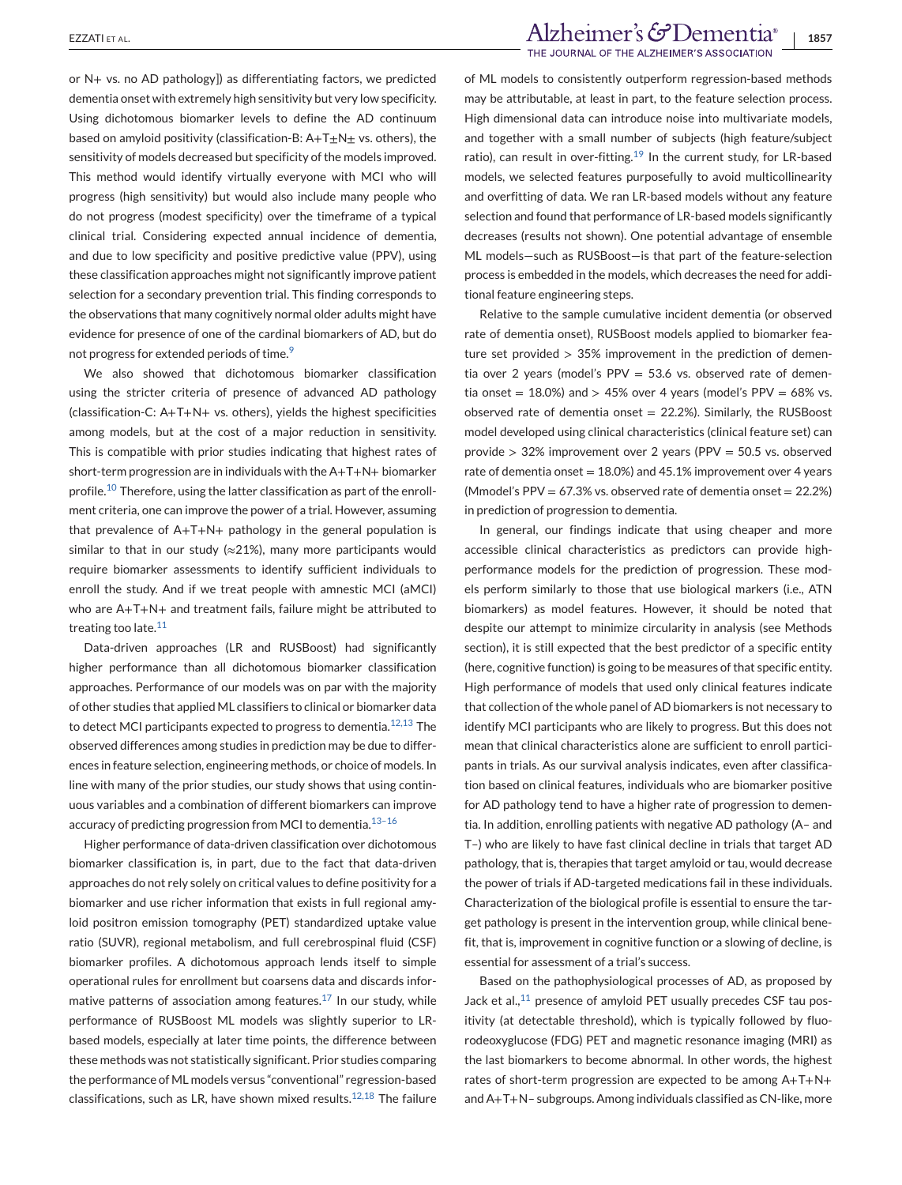or N+ vs. no AD pathology]) as differentiating factors, we predicted dementia onset with extremely high sensitivity but very low specificity. Using dichotomous biomarker levels to define the AD continuum based on amyloid positivity (classification-B:  $A+T+N+$  vs. others), the sensitivity of models decreased but specificity of the models improved. This method would identify virtually everyone with MCI who will progress (high sensitivity) but would also include many people who do not progress (modest specificity) over the timeframe of a typical clinical trial. Considering expected annual incidence of dementia, and due to low specificity and positive predictive value (PPV), using these classification approaches might not significantly improve patient selection for a secondary prevention trial. This finding corresponds to the observations that many cognitively normal older adults might have evidence for presence of one of the cardinal biomarkers of AD, but do not progress for extended periods of time.<sup>[9](#page-12-0)</sup>

We also showed that dichotomous biomarker classification using the stricter criteria of presence of advanced AD pathology (classification-C: A+T+N+ vs. others), yields the highest specificities among models, but at the cost of a major reduction in sensitivity. This is compatible with prior studies indicating that highest rates of short-term progression are in individuals with the A+T+N+ biomarker profile.[10](#page-12-0) Therefore, using the latter classification as part of the enrollment criteria, one can improve the power of a trial. However, assuming that prevalence of A+T+N+ pathology in the general population is similar to that in our study ( $\approx$ 21%), many more participants would require biomarker assessments to identify sufficient individuals to enroll the study. And if we treat people with amnestic MCI (aMCI) who are A+T+N+ and treatment fails, failure might be attributed to treating too late.<sup>[11](#page-12-0)</sup>

Data-driven approaches (LR and RUSBoost) had significantly higher performance than all dichotomous biomarker classification approaches. Performance of our models was on par with the majority of other studies that applied ML classifiers to clinical or biomarker data to detect MCI participants expected to progress to dementia.<sup>[12,13](#page-12-0)</sup> The observed differences among studies in prediction may be due to differences in feature selection, engineering methods, or choice of models. In line with many of the prior studies, our study shows that using continuous variables and a combination of different biomarkers can improve accuracy of predicting progression from MCI to dementia.<sup>13-16</sup>

Higher performance of data-driven classification over dichotomous biomarker classification is, in part, due to the fact that data-driven approaches do not rely solely on critical values to define positivity for a biomarker and use richer information that exists in full regional amyloid positron emission tomography (PET) standardized uptake value ratio (SUVR), regional metabolism, and full cerebrospinal fluid (CSF) biomarker profiles. A dichotomous approach lends itself to simple operational rules for enrollment but coarsens data and discards informative patterns of association among features. $^{17}$  $^{17}$  $^{17}$  In our study, while performance of RUSBoost ML models was slightly superior to LRbased models, especially at later time points, the difference between these methods was not statistically significant. Prior studies comparing the performance of ML models versus "conventional" regression-based classifications, such as LR, have shown mixed results.<sup>[12,18](#page-12-0)</sup> The failure

# EZZATI ET AL.<br>**1857** THE JOURNAL OF THE ALZHEIMER'S ASSOCIATION

of ML models to consistently outperform regression-based methods may be attributable, at least in part, to the feature selection process. High dimensional data can introduce noise into multivariate models, and together with a small number of subjects (high feature/subject ratio), can result in over-fitting.<sup>19</sup> In the current study, for LR-based models, we selected features purposefully to avoid multicollinearity and overfitting of data. We ran LR-based models without any feature selection and found that performance of LR-based models significantly decreases (results not shown). One potential advantage of ensemble ML models—such as RUSBoost—is that part of the feature-selection process is embedded in the models, which decreases the need for additional feature engineering steps.

Relative to the sample cumulative incident dementia (or observed rate of dementia onset), RUSBoost models applied to biomarker feature set provided  $> 35\%$  improvement in the prediction of dementia over 2 years (model's PPV = 53.6 vs. observed rate of dementia onset =  $18.0\%$ ) and >  $45\%$  over 4 years (model's PPV =  $68\%$  vs. observed rate of dementia onset  $= 22.2\%$ ). Similarly, the RUSBoost model developed using clinical characteristics (clinical feature set) can provide > 32% improvement over 2 years (PPV = 50.5 vs. observed rate of dementia onset =  $18.0\%$ ) and  $45.1\%$  improvement over 4 years (Mmodel's PPV =  $67.3\%$  vs. observed rate of dementia onset =  $22.2\%$ ) in prediction of progression to dementia.

In general, our findings indicate that using cheaper and more accessible clinical characteristics as predictors can provide highperformance models for the prediction of progression. These models perform similarly to those that use biological markers (i.e., ATN biomarkers) as model features. However, it should be noted that despite our attempt to minimize circularity in analysis (see Methods section), it is still expected that the best predictor of a specific entity (here, cognitive function) is going to be measures of that specific entity. High performance of models that used only clinical features indicate that collection of the whole panel of AD biomarkers is not necessary to identify MCI participants who are likely to progress. But this does not mean that clinical characteristics alone are sufficient to enroll participants in trials. As our survival analysis indicates, even after classification based on clinical features, individuals who are biomarker positive for AD pathology tend to have a higher rate of progression to dementia. In addition, enrolling patients with negative AD pathology (A– and T–) who are likely to have fast clinical decline in trials that target AD pathology, that is, therapies that target amyloid or tau, would decrease the power of trials if AD-targeted medications fail in these individuals. Characterization of the biological profile is essential to ensure the target pathology is present in the intervention group, while clinical benefit, that is, improvement in cognitive function or a slowing of decline, is essential for assessment of a trial's success.

Based on the pathophysiological processes of AD, as proposed by Jack et al., $^{11}$  presence of amyloid PET usually precedes CSF tau positivity (at detectable threshold), which is typically followed by fluorodeoxyglucose (FDG) PET and magnetic resonance imaging (MRI) as the last biomarkers to become abnormal. In other words, the highest rates of short-term progression are expected to be among A+T+N+ and A+T+N– subgroups. Among individuals classified as CN-like, more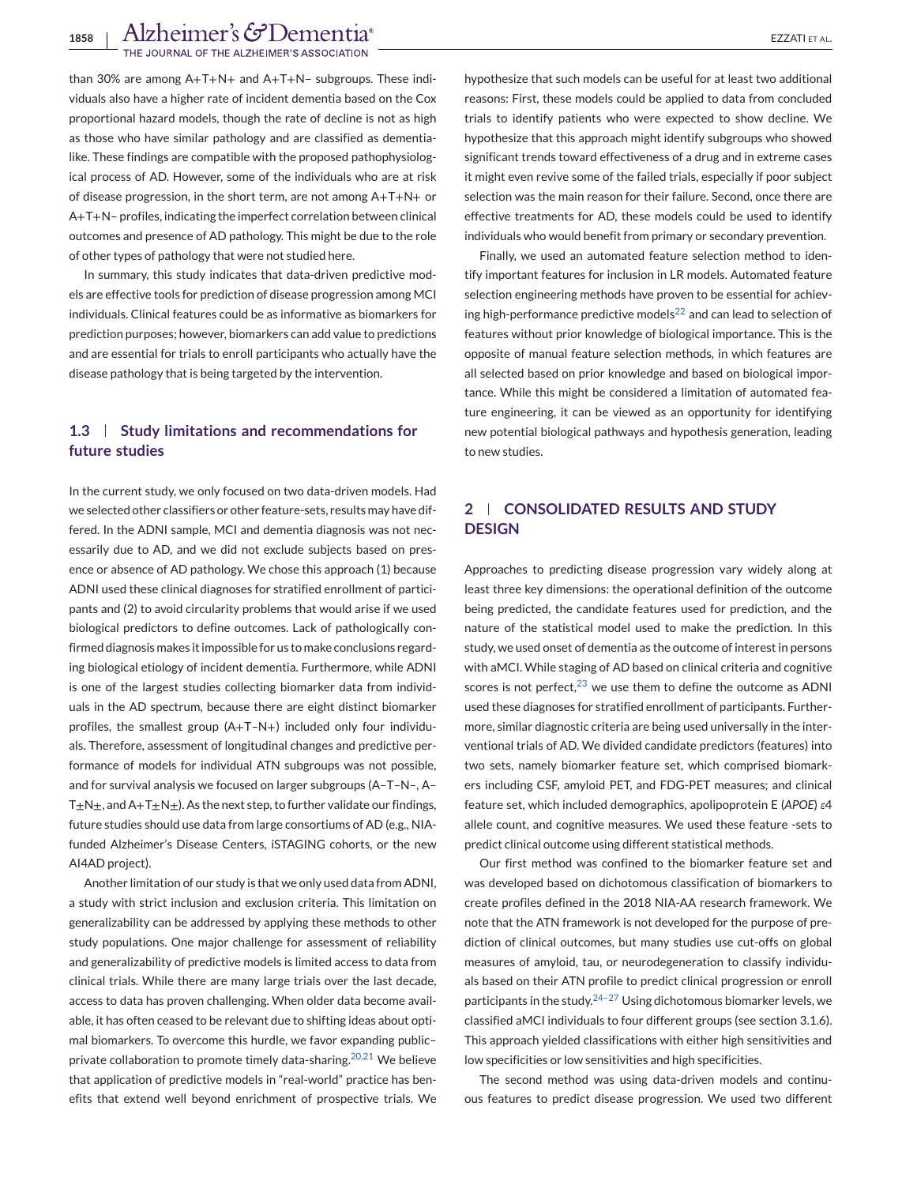# 1858 | Alzheimer's GDementia<sup>®</sup><br>The Journal of the Alzheimer's Association

than 30% are among A+T+N+ and A+T+N– subgroups. These individuals also have a higher rate of incident dementia based on the Cox proportional hazard models, though the rate of decline is not as high as those who have similar pathology and are classified as dementialike. These findings are compatible with the proposed pathophysiological process of AD. However, some of the individuals who are at risk of disease progression, in the short term, are not among A+T+N+ or A+T+N– profiles, indicating the imperfect correlation between clinical outcomes and presence of AD pathology. This might be due to the role of other types of pathology that were not studied here.

In summary, this study indicates that data-driven predictive models are effective tools for prediction of disease progression among MCI individuals. Clinical features could be as informative as biomarkers for prediction purposes; however, biomarkers can add value to predictions and are essential for trials to enroll participants who actually have the disease pathology that is being targeted by the intervention.

# **1.3 Study limitations and recommendations for future studies**

In the current study, we only focused on two data-driven models. Had we selected other classifiers or other feature-sets, results may have differed. In the ADNI sample, MCI and dementia diagnosis was not necessarily due to AD, and we did not exclude subjects based on presence or absence of AD pathology. We chose this approach (1) because ADNI used these clinical diagnoses for stratified enrollment of participants and (2) to avoid circularity problems that would arise if we used biological predictors to define outcomes. Lack of pathologically confirmed diagnosis makes it impossible for us to make conclusions regarding biological etiology of incident dementia. Furthermore, while ADNI is one of the largest studies collecting biomarker data from individuals in the AD spectrum, because there are eight distinct biomarker profiles, the smallest group (A+T–N+) included only four individuals. Therefore, assessment of longitudinal changes and predictive performance of models for individual ATN subgroups was not possible, and for survival analysis we focused on larger subgroups (A–T–N–, A– T $\pm$ N $\pm$ , and A+T $\pm$ N $\pm$ ). As the next step, to further validate our findings, future studies should use data from large consortiums of AD (e.g., NIAfunded Alzheimer's Disease Centers, iSTAGING cohorts, or the new AI4AD project).

Another limitation of our study is that we only used data from ADNI, a study with strict inclusion and exclusion criteria. This limitation on generalizability can be addressed by applying these methods to other study populations. One major challenge for assessment of reliability and generalizability of predictive models is limited access to data from clinical trials. While there are many large trials over the last decade, access to data has proven challenging. When older data become available, it has often ceased to be relevant due to shifting ideas about optimal biomarkers. To overcome this hurdle, we favor expanding public– private collaboration to promote timely data-sharing.<sup>[20,21](#page-12-0)</sup> We believe that application of predictive models in "real-world" practice has benefits that extend well beyond enrichment of prospective trials. We

significant trends toward effectiveness of a drug and in extreme cases it might even revive some of the failed trials, especially if poor subject selection was the main reason for their failure. Second, once there are effective treatments for AD, these models could be used to identify individuals who would benefit from primary or secondary prevention.

Finally, we used an automated feature selection method to identify important features for inclusion in LR models. Automated feature selection engineering methods have proven to be essential for achiev-ing high-performance predictive models<sup>[22](#page-12-0)</sup> and can lead to selection of features without prior knowledge of biological importance. This is the opposite of manual feature selection methods, in which features are all selected based on prior knowledge and based on biological importance. While this might be considered a limitation of automated feature engineering, it can be viewed as an opportunity for identifying new potential biological pathways and hypothesis generation, leading to new studies.

# **2 CONSOLIDATED RESULTS AND STUDY DESIGN**

Approaches to predicting disease progression vary widely along at least three key dimensions: the operational definition of the outcome being predicted, the candidate features used for prediction, and the nature of the statistical model used to make the prediction. In this study, we used onset of dementia as the outcome of interest in persons with aMCI. While staging of AD based on clinical criteria and cognitive scores is not perfect, $23$  we use them to define the outcome as ADNI used these diagnoses for stratified enrollment of participants. Furthermore, similar diagnostic criteria are being used universally in the interventional trials of AD. We divided candidate predictors (features) into two sets, namely biomarker feature set, which comprised biomarkers including CSF, amyloid PET, and FDG-PET measures; and clinical feature set, which included demographics, apolipoprotein E (*APOE*) *ε*4 allele count, and cognitive measures. We used these feature -sets to predict clinical outcome using different statistical methods.

Our first method was confined to the biomarker feature set and was developed based on dichotomous classification of biomarkers to create profiles defined in the 2018 NIA-AA research framework. We note that the ATN framework is not developed for the purpose of prediction of clinical outcomes, but many studies use cut-offs on global measures of amyloid, tau, or neurodegeneration to classify individuals based on their ATN profile to predict clinical progression or enroll participants in the study. $24-27$  Using dichotomous biomarker levels, we classified aMCI individuals to four different groups (see section 3.1.6). This approach yielded classifications with either high sensitivities and low specificities or low sensitivities and high specificities.

The second method was using data-driven models and continuous features to predict disease progression. We used two different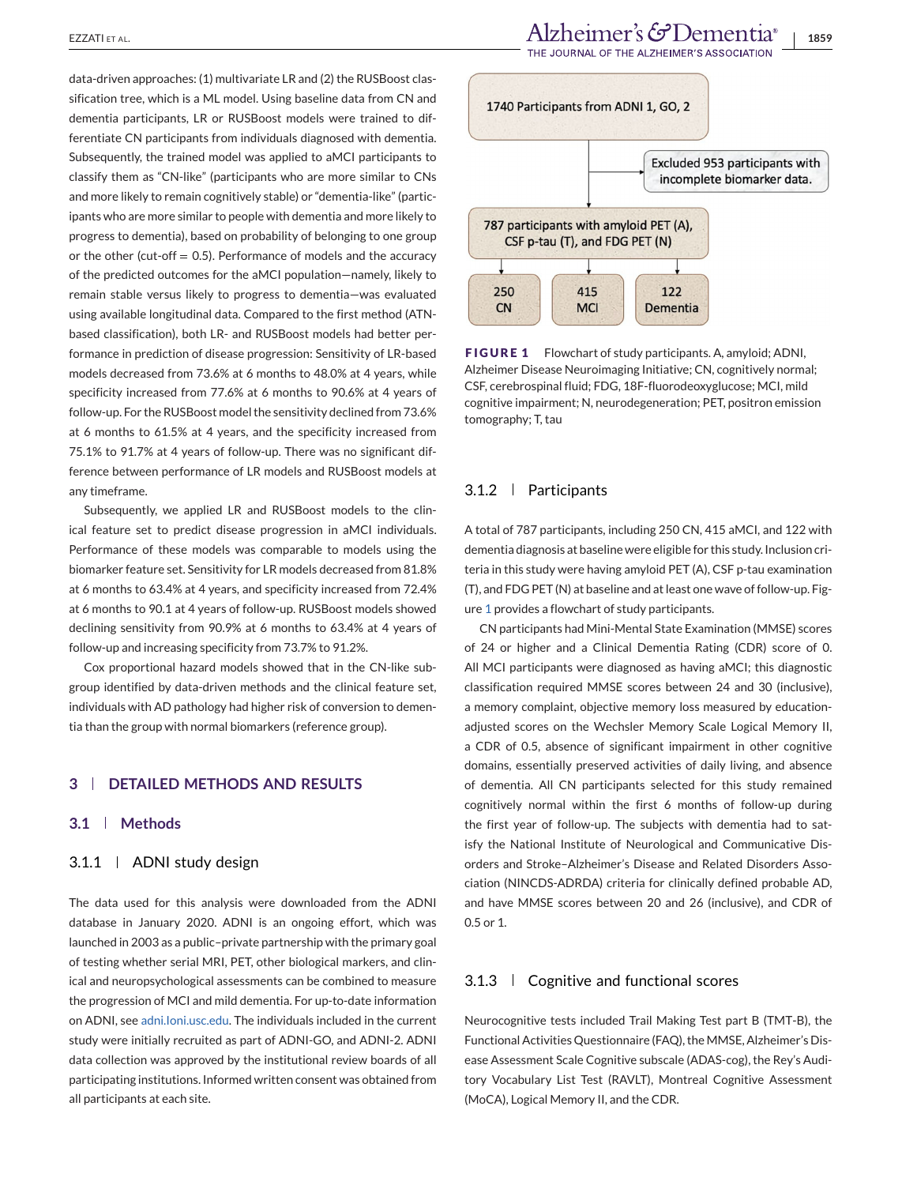data-driven approaches: (1) multivariate LR and (2) the RUSBoost classification tree, which is a ML model. Using baseline data from CN and dementia participants, LR or RUSBoost models were trained to differentiate CN participants from individuals diagnosed with dementia. Subsequently, the trained model was applied to aMCI participants to classify them as "CN-like" (participants who are more similar to CNs and more likely to remain cognitively stable) or "dementia-like" (participants who are more similar to people with dementia and more likely to progress to dementia), based on probability of belonging to one group or the other (cut-off  $= 0.5$ ). Performance of models and the accuracy of the predicted outcomes for the aMCI population—namely, likely to remain stable versus likely to progress to dementia—was evaluated using available longitudinal data. Compared to the first method (ATNbased classification), both LR- and RUSBoost models had better performance in prediction of disease progression: Sensitivity of LR-based models decreased from 73.6% at 6 months to 48.0% at 4 years, while specificity increased from 77.6% at 6 months to 90.6% at 4 years of follow-up. For the RUSBoost model the sensitivity declined from 73.6% at 6 months to 61.5% at 4 years, and the specificity increased from 75.1% to 91.7% at 4 years of follow-up. There was no significant difference between performance of LR models and RUSBoost models at any timeframe.

Subsequently, we applied LR and RUSBoost models to the clinical feature set to predict disease progression in aMCI individuals. Performance of these models was comparable to models using the biomarker feature set. Sensitivity for LR models decreased from 81.8% at 6 months to 63.4% at 4 years, and specificity increased from 72.4% at 6 months to 90.1 at 4 years of follow-up. RUSBoost models showed declining sensitivity from 90.9% at 6 months to 63.4% at 4 years of follow-up and increasing specificity from 73.7% to 91.2%.

Cox proportional hazard models showed that in the CN-like subgroup identified by data-driven methods and the clinical feature set, individuals with AD pathology had higher risk of conversion to dementia than the group with normal biomarkers (reference group).

#### **3 DETAILED METHODS AND RESULTS**

#### **3.1 Methods**

#### 3.1.1 | ADNI study design

The data used for this analysis were downloaded from the ADNI database in January 2020. ADNI is an ongoing effort, which was launched in 2003 as a public–private partnership with the primary goal of testing whether serial MRI, PET, other biological markers, and clinical and neuropsychological assessments can be combined to measure the progression of MCI and mild dementia. For up-to-date information on ADNI, see [adni.Ioni.usc.edu.](http://adni.Ioni.usc.edu) The individuals included in the current study were initially recruited as part of ADNI-GO, and ADNI-2. ADNI data collection was approved by the institutional review boards of all participating institutions. Informed written consent was obtained from all participants at each site.



**FIGURE 1** Flowchart of study participants. A, amyloid; ADNI, Alzheimer Disease Neuroimaging Initiative; CN, cognitively normal; CSF, cerebrospinal fluid; FDG, 18F-fluorodeoxyglucose; MCI, mild cognitive impairment; N, neurodegeneration; PET, positron emission tomography; T, tau

#### 3.1.2 Participants

A total of 787 participants, including 250 CN, 415 aMCI, and 122 with dementia diagnosis at baseline were eligible for this study. Inclusion criteria in this study were having amyloid PET (A), CSF p-tau examination (T), and FDG PET (N) at baseline and at least one wave of follow-up. Figure 1 provides a flowchart of study participants.

CN participants had Mini-Mental State Examination (MMSE) scores of 24 or higher and a Clinical Dementia Rating (CDR) score of 0. All MCI participants were diagnosed as having aMCI; this diagnostic classification required MMSE scores between 24 and 30 (inclusive), a memory complaint, objective memory loss measured by educationadjusted scores on the Wechsler Memory Scale Logical Memory II, a CDR of 0.5, absence of significant impairment in other cognitive domains, essentially preserved activities of daily living, and absence of dementia. All CN participants selected for this study remained cognitively normal within the first 6 months of follow-up during the first year of follow-up. The subjects with dementia had to satisfy the National Institute of Neurological and Communicative Disorders and Stroke–Alzheimer's Disease and Related Disorders Association (NINCDS-ADRDA) criteria for clinically defined probable AD, and have MMSE scores between 20 and 26 (inclusive), and CDR of 0.5 or 1.

#### 3.1.3 Cognitive and functional scores

Neurocognitive tests included Trail Making Test part B (TMT-B), the Functional Activities Questionnaire (FAQ), the MMSE, Alzheimer's Disease Assessment Scale Cognitive subscale (ADAS-cog), the Rey's Auditory Vocabulary List Test (RAVLT), Montreal Cognitive Assessment (MoCA), Logical Memory II, and the CDR.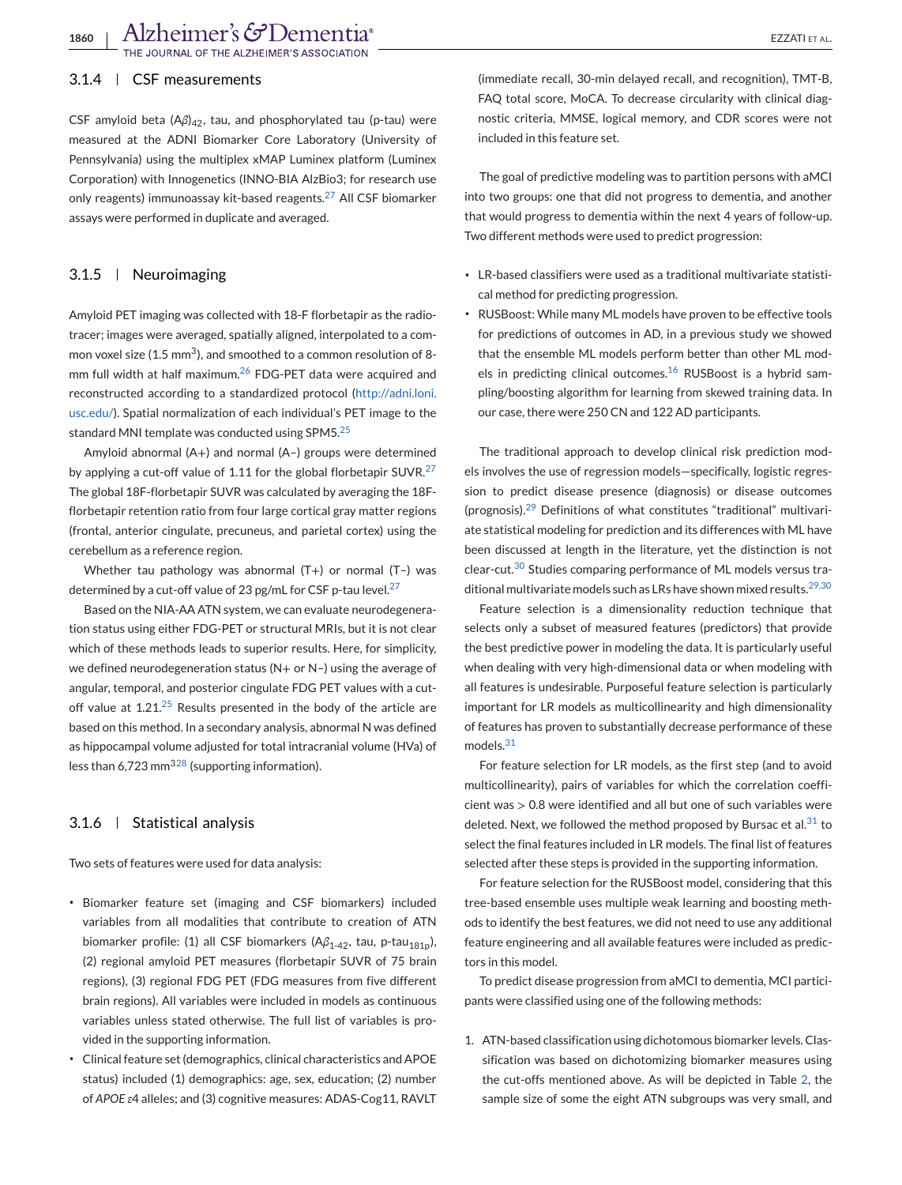1860 | Alzheimer's G<sup>o</sup>Dementia<sup>®</sup><br>The Journal of the alzheimer's association

### 3.1.4 CSF measurements

CSF amyloid beta (Aβ)<sub>42</sub>, tau, and phosphorylated tau (p-tau) were measured at the ADNI Biomarker Core Laboratory (University of Pennsylvania) using the multiplex xMAP Luminex platform (Luminex Corporation) with Innogenetics (INNO-BIA AlzBio3; for research use only reagents) immunoassay kit-based reagents.<sup>[27](#page-12-0)</sup> All CSF biomarker assays were performed in duplicate and averaged.

#### 3.1.5 Neuroimaging

Amyloid PET imaging was collected with 18-F florbetapir as the radiotracer; images were averaged, spatially aligned, interpolated to a common voxel size (1.5 mm<sup>3</sup>), and smoothed to a common resolution of 8-mm full width at half maximum.<sup>[26](#page-12-0)</sup> FDG-PET data were acquired and reconstructed according to a standardized protocol [\(http://adni.loni.](http://adni.loni.usc.edu/) [usc.edu/\)](http://adni.loni.usc.edu/). Spatial normalization of each individual's PET image to the standard MNI template was conducted using SPM5.[25](#page-12-0)

Amyloid abnormal (A+) and normal (A–) groups were determined by applying a cut-off value of 1.11 for the global florbetapir SUVR. $27$ The global 18F-florbetapir SUVR was calculated by averaging the 18Fflorbetapir retention ratio from four large cortical gray matter regions (frontal, anterior cingulate, precuneus, and parietal cortex) using the cerebellum as a reference region.

Whether tau pathology was abnormal (T+) or normal (T-) was determined by a cut-off value of 23 pg/mL for CSF p-tau level. $27$ 

Based on the NIA-AA ATN system, we can evaluate neurodegeneration status using either FDG-PET or structural MRIs, but it is not clear which of these methods leads to superior results. Here, for simplicity, we defined neurodegeneration status (N+ or N–) using the average of angular, temporal, and posterior cingulate FDG PET values with a cutoff value at  $1.21^{25}$  $1.21^{25}$  $1.21^{25}$  Results presented in the body of the article are based on this method. In a secondary analysis, abnormal N was defined as hippocampal volume adjusted for total intracranial volume (HVa) of less than 6,723 mm<sup>[328](#page-12-0)</sup> (supporting information).

#### 3.1.6 Statistical analysis

Two sets of features were used for data analysis:

- ∙ Biomarker feature set (imaging and CSF biomarkers) included variables from all modalities that contribute to creation of ATN biomarker profile: (1) all CSF biomarkers (Aβ<sub>1-42</sub>, tau, p-tau<sub>181p</sub>), (2) regional amyloid PET measures (florbetapir SUVR of 75 brain regions), (3) regional FDG PET (FDG measures from five different brain regions). All variables were included in models as continuous variables unless stated otherwise. The full list of variables is provided in the supporting information.
- ∙ Clinical feature set (demographics, clinical characteristics and APOE status) included (1) demographics: age, sex, education; (2) number of *APOE ε*4 alleles; and (3) cognitive measures: ADAS-Cog11, RAVLT

(immediate recall, 30-min delayed recall, and recognition), TMT-B, FAQ total score, MoCA. To decrease circularity with clinical diagnostic criteria, MMSE, logical memory, and CDR scores were not included in this feature set.

The goal of predictive modeling was to partition persons with aMCI into two groups: one that did not progress to dementia, and another that would progress to dementia within the next 4 years of follow-up. Two different methods were used to predict progression:

- ∙ LR-based classifiers were used as a traditional multivariate statistical method for predicting progression.
- ∙ RUSBoost: While many ML models have proven to be effective tools for predictions of outcomes in AD, in a previous study we showed that the ensemble ML models perform better than other ML models in predicting clinical outcomes. $16$  RUSBoost is a hybrid sampling/boosting algorithm for learning from skewed training data. In our case, there were 250 CN and 122 AD participants.

The traditional approach to develop clinical risk prediction models involves the use of regression models—specifically, logistic regression to predict disease presence (diagnosis) or disease outcomes (prognosis).[29](#page-12-0) Definitions of what constitutes "traditional" multivariate statistical modeling for prediction and its differences with ML have been discussed at length in the literature, yet the distinction is not clear-cut.[30](#page-12-0) Studies comparing performance of ML models versus tra-ditional multivariate models such as LRs have shown mixed results.<sup>[29,30](#page-12-0)</sup>

Feature selection is a dimensionality reduction technique that selects only a subset of measured features (predictors) that provide the best predictive power in modeling the data. It is particularly useful when dealing with very high-dimensional data or when modeling with all features is undesirable. Purposeful feature selection is particularly important for LR models as multicollinearity and high dimensionality of features has proven to substantially decrease performance of these models.<sup>[31](#page-12-0)</sup>

For feature selection for LR models, as the first step (and to avoid multicollinearity), pairs of variables for which the correlation coefficient was > 0.8 were identified and all but one of such variables were deleted. Next, we followed the method proposed by Bursac et al. $31$  to select the final features included in LR models. The final list of features selected after these steps is provided in the supporting information.

For feature selection for the RUSBoost model, considering that this tree-based ensemble uses multiple weak learning and boosting methods to identify the best features, we did not need to use any additional feature engineering and all available features were included as predictors in this model.

To predict disease progression from aMCI to dementia, MCI participants were classified using one of the following methods:

1. ATN-based classification using dichotomous biomarker levels. Classification was based on dichotomizing biomarker measures using the cut-offs mentioned above. As will be depicted in Table [2,](#page-7-0) the sample size of some the eight ATN subgroups was very small, and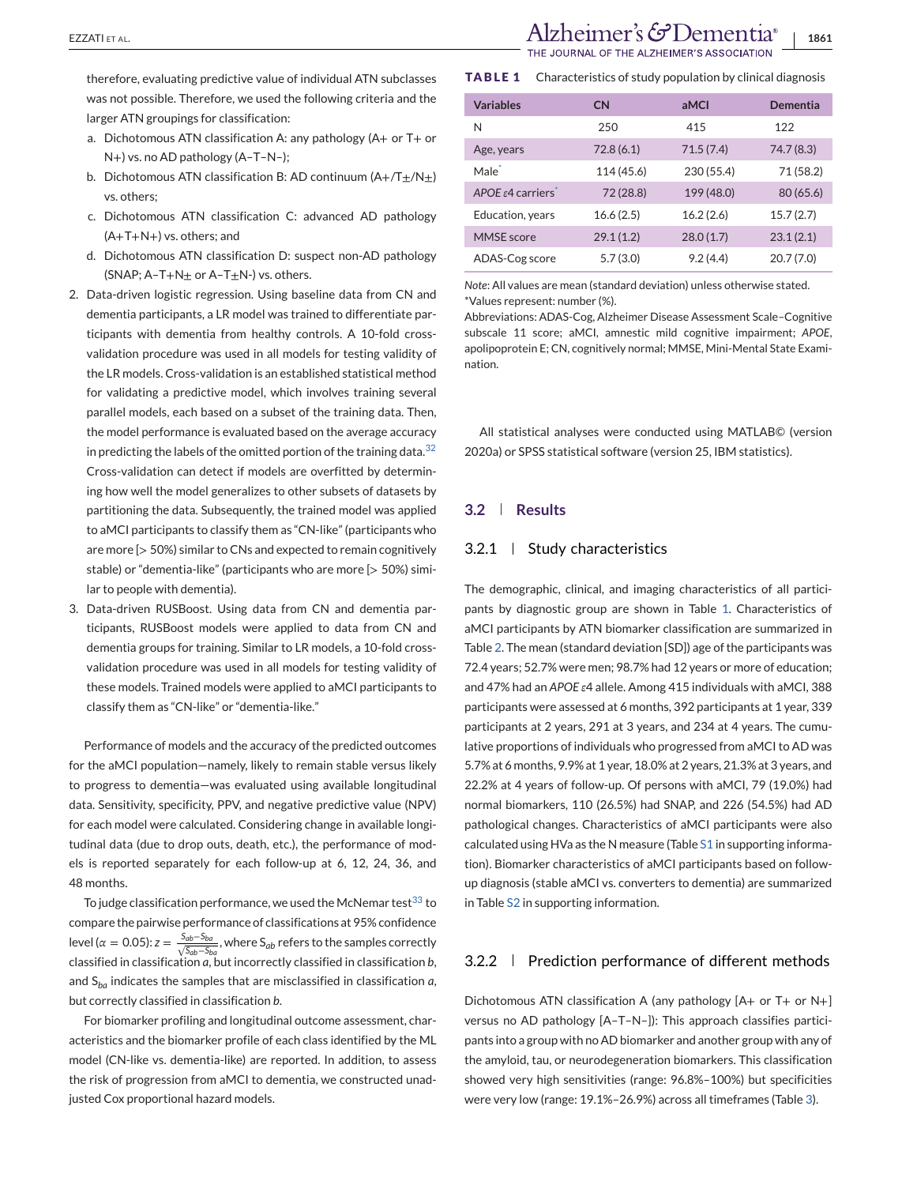therefore, evaluating predictive value of individual ATN subclasses was not possible. Therefore, we used the following criteria and the larger ATN groupings for classification:

- a. Dichotomous ATN classification A: any pathology (A+ or T+ or N+) vs. no AD pathology (A–T–N–);
- b. Dichotomous ATN classification B: AD continuum  $(A+/(T+1))$ vs. others;
- c. Dichotomous ATN classification C: advanced AD pathology (A+T+N+) vs. others; and
- d. Dichotomous ATN classification D: suspect non-AD pathology (SNAP;  $A-T+N_{\pm}$  or  $A-T_{\pm}N$ -) vs. others.
- 2. Data-driven logistic regression. Using baseline data from CN and dementia participants, a LR model was trained to differentiate participants with dementia from healthy controls. A 10-fold crossvalidation procedure was used in all models for testing validity of the LR models. Cross-validation is an established statistical method for validating a predictive model, which involves training several parallel models, each based on a subset of the training data. Then, the model performance is evaluated based on the average accuracy in predicting the labels of the omitted portion of the training data.[32](#page-12-0) Cross-validation can detect if models are overfitted by determining how well the model generalizes to other subsets of datasets by partitioning the data. Subsequently, the trained model was applied to aMCI participants to classify them as "CN-like" (participants who are more [> 50%) similar to CNs and expected to remain cognitively stable) or "dementia-like" (participants who are more [> 50%) similar to people with dementia).
- 3. Data-driven RUSBoost. Using data from CN and dementia participants, RUSBoost models were applied to data from CN and dementia groups for training. Similar to LR models, a 10-fold crossvalidation procedure was used in all models for testing validity of these models. Trained models were applied to aMCI participants to classify them as "CN-like" or "dementia-like."

Performance of models and the accuracy of the predicted outcomes for the aMCI population—namely, likely to remain stable versus likely to progress to dementia—was evaluated using available longitudinal data. Sensitivity, specificity, PPV, and negative predictive value (NPV) for each model were calculated. Considering change in available longitudinal data (due to drop outs, death, etc.), the performance of models is reported separately for each follow-up at 6, 12, 24, 36, and 48 months.

To judge classification performance, we used the McNemar test $^{33}$  $^{33}$  $^{33}$  to compare the pairwise performance of classifications at 95% confidence level ( $\alpha = 0.05$ ):  $z = \frac{S_{ab} - S_{ba}}{\sqrt{S_{ab} - S_{ba}}}$ , where  $S_{ab}$  refers to the samples correctly classified in classification *a*, but incorrectly classified in classification *b*, and S*ba* indicates the samples that are misclassified in classification *a*, but correctly classified in classification *b*.

For biomarker profiling and longitudinal outcome assessment, characteristics and the biomarker profile of each class identified by the ML model (CN-like vs. dementia-like) are reported. In addition, to assess the risk of progression from aMCI to dementia, we constructed unadjusted Cox proportional hazard models.

EZZATI ET AL. **1861** Alzheimer's  $\mathcal{C}$ Dementia® | 1861

**TABLE 1** Characteristics of study population by clinical diagnosis

| <b>Variables</b>           | CN         | aMCI       | Dementia   |
|----------------------------|------------|------------|------------|
| N                          | 250        | 415        | 122        |
| Age, years                 | 72.8(6.1)  | 71.5(7.4)  | 74.7 (8.3) |
| Male <sup>*</sup>          | 114 (45.6) | 230 (55.4) | 71 (58.2)  |
| APOE $\epsilon$ 4 carriers | 72 (28.8)  | 199 (48.0) | 80 (65.6)  |
| Education, years           | 16.6(2.5)  | 16.2(2.6)  | 15.7(2.7)  |
| MMSE score                 | 29.1(1.2)  | 28.0(1.7)  | 23.1(2.1)  |
| ADAS-Cog score             | 5.7(3.0)   | 9.2(4.4)   | 20.7(7.0)  |

*Note*: All values are mean (standard deviation) unless otherwise stated. \*Values represent: number (%).

Abbreviations: ADAS-Cog, Alzheimer Disease Assessment Scale–Cognitive subscale 11 score; aMCI, amnestic mild cognitive impairment; *APOE*, apolipoprotein E; CN, cognitively normal; MMSE, Mini-Mental State Examination.

All statistical analyses were conducted using MATLAB© (version 2020a) or SPSS statistical software (version 25, IBM statistics).

### **3.2 Results**

#### 3.2.1 Study characteristics

The demographic, clinical, and imaging characteristics of all participants by diagnostic group are shown in Table 1. Characteristics of aMCI participants by ATN biomarker classification are summarized in Table [2.](#page-7-0) The mean (standard deviation [SD]) age of the participants was 72.4 years; 52.7% were men; 98.7% had 12 years or more of education; and 47% had an *APOE ε*4 allele. Among 415 individuals with aMCI, 388 participants were assessed at 6 months, 392 participants at 1 year, 339 participants at 2 years, 291 at 3 years, and 234 at 4 years. The cumulative proportions of individuals who progressed from aMCI to AD was 5.7% at 6 months, 9.9% at 1 year, 18.0% at 2 years, 21.3% at 3 years, and 22.2% at 4 years of follow-up. Of persons with aMCI, 79 (19.0%) had normal biomarkers, 110 (26.5%) had SNAP, and 226 (54.5%) had AD pathological changes. Characteristics of aMCI participants were also calculated using HVa as the N measure (Table S1 in supporting information). Biomarker characteristics of aMCI participants based on followup diagnosis (stable aMCI vs. converters to dementia) are summarized in Table S2 in supporting information.

#### 3.2.2 Prediction performance of different methods

Dichotomous ATN classification A (any pathology [A+ or T+ or N+] versus no AD pathology [A–T–N–]): This approach classifies participants into a group with no AD biomarker and another group with any of the amyloid, tau, or neurodegeneration biomarkers. This classification showed very high sensitivities (range: 96.8%–100%) but specificities were very low (range: 19.1%–26.9%) across all timeframes (Table [3\)](#page-8-0).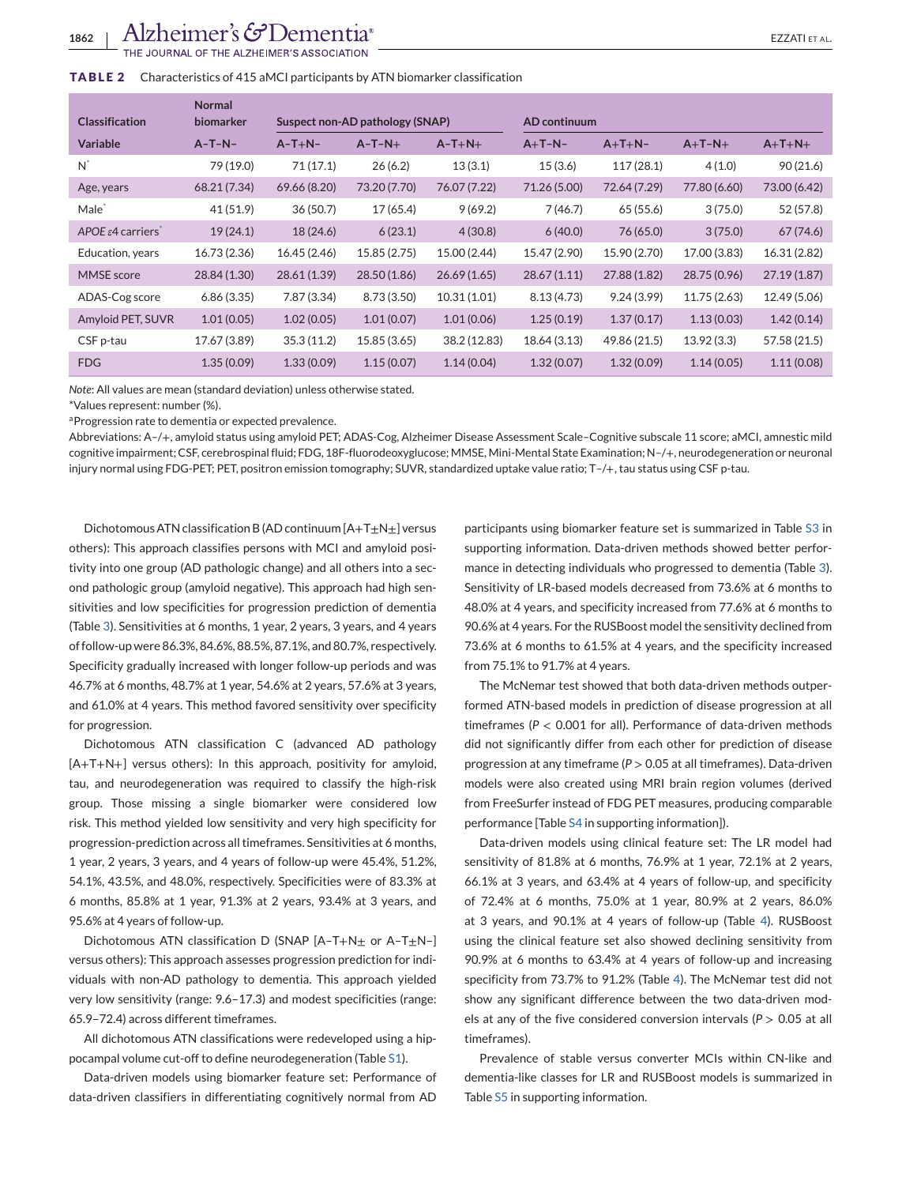<span id="page-7-0"></span>

| <b>Classification</b>         | <b>Normal</b><br>biomarker | Suspect non-AD pathology (SNAP) |              |              | AD continuum |              |              |              |
|-------------------------------|----------------------------|---------------------------------|--------------|--------------|--------------|--------------|--------------|--------------|
| <b>Variable</b>               | $A-T-N-$                   | $A-T+N-$                        | $A-T-N+$     | $A-T+N+$     | $A+T-N-$     | $A+T+N-$     | $A+T-N+$     | $A+T+N+$     |
| $N^*$                         | 79 (19.0)                  | 71(17.1)                        | 26(6.2)      | 13(3.1)      | 15(3.6)      | 117(28.1)    | 4(1.0)       | 90(21.6)     |
| Age, years                    | 68.21 (7.34)               | 69.66 (8.20)                    | 73.20 (7.70) | 76.07 (7.22) | 71.26 (5.00) | 72.64 (7.29) | 77.80 (6.60) | 73.00 (6.42) |
| Male <sup>®</sup>             | 41 (51.9)                  | 36(50.7)                        | 17 (65.4)    | 9(69.2)      | 7(46.7)      | 65 (55.6)    | 3(75.0)      | 52 (57.8)    |
| APOE $\varepsilon$ 4 carriers | 19(24.1)                   | 18 (24.6)                       | 6(23.1)      | 4(30.8)      | 6(40.0)      | 76 (65.0)    | 3(75.0)      | 67(74.6)     |
| Education, years              | 16.73 (2.36)               | 16.45 (2.46)                    | 15.85 (2.75) | 15.00 (2.44) | 15.47 (2.90) | 15.90 (2.70) | 17.00 (3.83) | 16.31 (2.82) |
| <b>MMSE</b> score             | 28.84 (1.30)               | 28.61 (1.39)                    | 28.50 (1.86) | 26.69(1.65)  | 28.67(1.11)  | 27.88 (1.82) | 28.75 (0.96) | 27.19(1.87)  |
| ADAS-Cog score                | 6.86(3.35)                 | 7.87 (3.34)                     | 8.73 (3.50)  | 10.31(1.01)  | 8.13(4.73)   | 9.24(3.99)   | 11.75 (2.63) | 12.49 (5.06) |
| Amyloid PET, SUVR             | 1.01(0.05)                 | 1.02(0.05)                      | 1.01(0.07)   | 1.01(0.06)   | 1.25(0.19)   | 1.37(0.17)   | 1.13(0.03)   | 1.42(0.14)   |
| CSF p-tau                     | 17.67 (3.89)               | 35.3(11.2)                      | 15.85 (3.65) | 38.2 (12.83) | 18.64 (3.13) | 49.86 (21.5) | 13.92(3.3)   | 57.58 (21.5) |
| <b>FDG</b>                    | 1.35(0.09)                 | 1.33(0.09)                      | 1.15(0.07)   | 1.14(0.04)   | 1.32(0.07)   | 1.32(0.09)   | 1.14(0.05)   | 1.11(0.08)   |

*Note*: All values are mean (standard deviation) unless otherwise stated.

\*Values represent: number (%).

aProgression rate to dementia or expected prevalence.

Abbreviations: A–/+, amyloid status using amyloid PET; ADAS-Cog, Alzheimer Disease Assessment Scale–Cognitive subscale 11 score; aMCI, amnestic mild cognitive impairment; CSF, cerebrospinal fluid; FDG, 18F-fluorodeoxyglucose; MMSE, Mini-Mental State Examination; N–/+, neurodegeneration or neuronal injury normal using FDG-PET; PET, positron emission tomography; SUVR, standardized uptake value ratio; T–/+, tau status using CSF p-tau.

Dichotomous ATN classification B (AD continuum  $[A+T\pm N\pm]$  versus others): This approach classifies persons with MCI and amyloid positivity into one group (AD pathologic change) and all others into a second pathologic group (amyloid negative). This approach had high sensitivities and low specificities for progression prediction of dementia (Table [3\)](#page-8-0). Sensitivities at 6 months, 1 year, 2 years, 3 years, and 4 years of follow-up were 86.3%, 84.6%, 88.5%, 87.1%, and 80.7%, respectively. Specificity gradually increased with longer follow-up periods and was 46.7% at 6 months, 48.7% at 1 year, 54.6% at 2 years, 57.6% at 3 years, and 61.0% at 4 years. This method favored sensitivity over specificity for progression.

Dichotomous ATN classification C (advanced AD pathology [A+T+N+] versus others): In this approach, positivity for amyloid, tau, and neurodegeneration was required to classify the high-risk group. Those missing a single biomarker were considered low risk. This method yielded low sensitivity and very high specificity for progression-prediction across all timeframes. Sensitivities at 6 months, 1 year, 2 years, 3 years, and 4 years of follow-up were 45.4%, 51.2%, 54.1%, 43.5%, and 48.0%, respectively. Specificities were of 83.3% at 6 months, 85.8% at 1 year, 91.3% at 2 years, 93.4% at 3 years, and 95.6% at 4 years of follow-up.

Dichotomous ATN classification D (SNAP  $[A-T+N<sub>±</sub>$  or A-T $<sub>±</sub>N-$ ]</sub> versus others): This approach assesses progression prediction for individuals with non-AD pathology to dementia. This approach yielded very low sensitivity (range: 9.6–17.3) and modest specificities (range: 65.9–72.4) across different timeframes.

All dichotomous ATN classifications were redeveloped using a hippocampal volume cut-off to define neurodegeneration (Table S1).

Data-driven models using biomarker feature set: Performance of data-driven classifiers in differentiating cognitively normal from AD

participants using biomarker feature set is summarized in Table S3 in supporting information. Data-driven methods showed better performance in detecting individuals who progressed to dementia (Table [3\)](#page-8-0). Sensitivity of LR-based models decreased from 73.6% at 6 months to 48.0% at 4 years, and specificity increased from 77.6% at 6 months to 90.6% at 4 years. For the RUSBoost model the sensitivity declined from 73.6% at 6 months to 61.5% at 4 years, and the specificity increased from 75.1% to 91.7% at 4 years.

The McNemar test showed that both data-driven methods outperformed ATN-based models in prediction of disease progression at all timeframes (*P* < 0.001 for all). Performance of data-driven methods did not significantly differ from each other for prediction of disease progression at any timeframe (*P* > 0.05 at all timeframes). Data-driven models were also created using MRI brain region volumes (derived from FreeSurfer instead of FDG PET measures, producing comparable performance [Table S4 in supporting information]).

Data-driven models using clinical feature set: The LR model had sensitivity of 81.8% at 6 months, 76.9% at 1 year, 72.1% at 2 years, 66.1% at 3 years, and 63.4% at 4 years of follow-up, and specificity of 72.4% at 6 months, 75.0% at 1 year, 80.9% at 2 years, 86.0% at 3 years, and 90.1% at 4 years of follow-up (Table [4\)](#page-9-0). RUSBoost using the clinical feature set also showed declining sensitivity from 90.9% at 6 months to 63.4% at 4 years of follow-up and increasing specificity from 73.7% to 91.2% (Table [4\)](#page-9-0). The McNemar test did not show any significant difference between the two data-driven models at any of the five considered conversion intervals (*P* > 0.05 at all timeframes).

Prevalence of stable versus converter MCIs within CN-like and dementia-like classes for LR and RUSBoost models is summarized in Table S5 in supporting information.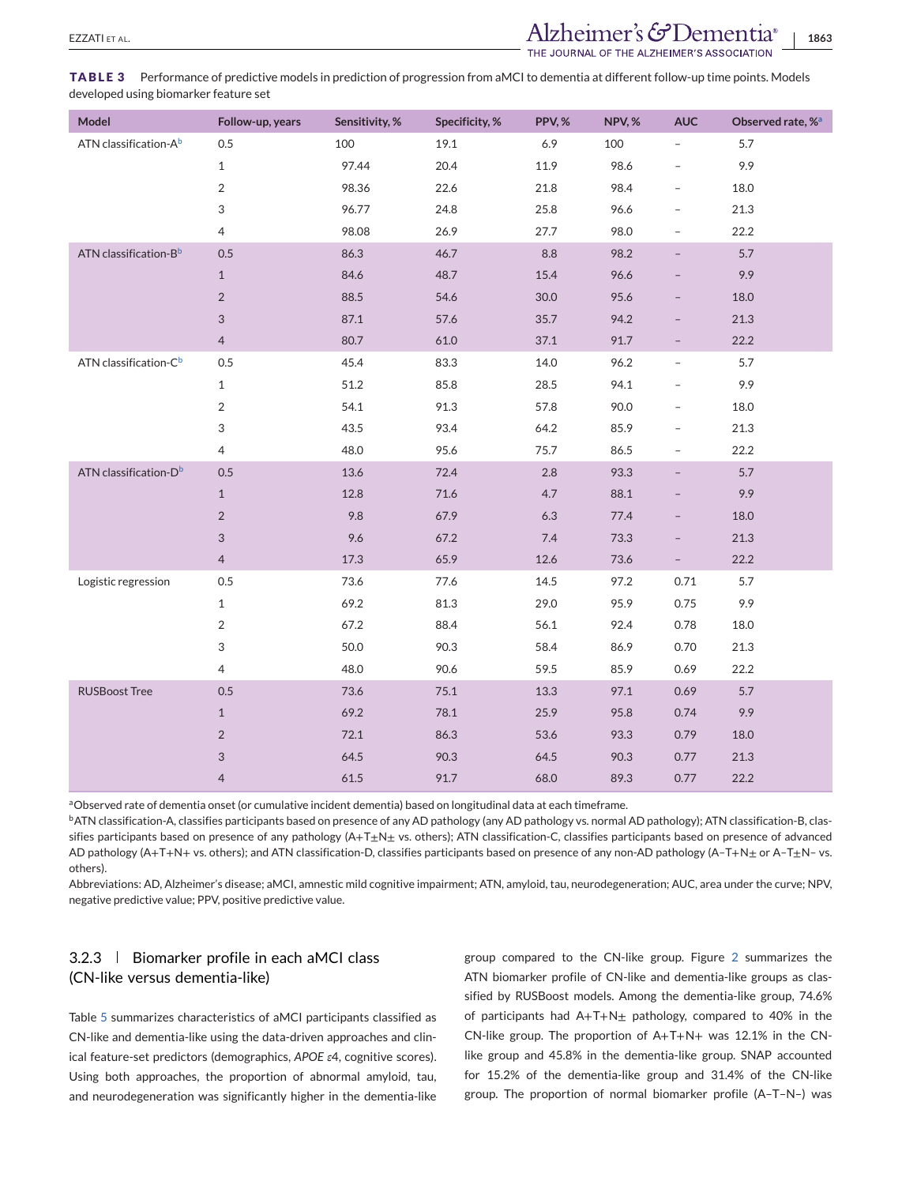<span id="page-8-0"></span>**TABLE 3** Performance of predictive models in prediction of progression from aMCI to dementia at different follow-up time points. Models developed using biomarker feature set

| Model                             | Follow-up, years | Sensitivity, % | Specificity, % | PPV,%   | NPV,% | <b>AUC</b>               | Observed rate, % <sup>a</sup> |
|-----------------------------------|------------------|----------------|----------------|---------|-------|--------------------------|-------------------------------|
| ATN classification-A <sup>b</sup> | 0.5              | 100            | 19.1           | 6.9     | 100   | $\overline{a}$           | 5.7                           |
|                                   | $\mathbf{1}$     | 97.44          | 20.4           | 11.9    | 98.6  |                          | 9.9                           |
|                                   | $\overline{2}$   | 98.36          | 22.6           | 21.8    | 98.4  | $\overline{\phantom{a}}$ | 18.0                          |
|                                   | 3                | 96.77          | 24.8           | 25.8    | 96.6  |                          | 21.3                          |
|                                   | 4                | 98.08          | 26.9           | 27.7    | 98.0  |                          | 22.2                          |
| ATN classification-Bb             | 0.5              | 86.3           | 46.7           | $8.8\,$ | 98.2  | $\overline{\phantom{0}}$ | 5.7                           |
|                                   | $\mathbf{1}$     | 84.6           | 48.7           | 15.4    | 96.6  |                          | 9.9                           |
|                                   | $\overline{2}$   | 88.5           | 54.6           | 30.0    | 95.6  |                          | 18.0                          |
|                                   | 3                | 87.1           | 57.6           | 35.7    | 94.2  |                          | 21.3                          |
|                                   | $\overline{4}$   | 80.7           | 61.0           | 37.1    | 91.7  |                          | 22.2                          |
| ATN classification-C <sup>b</sup> | 0.5              | 45.4           | 83.3           | 14.0    | 96.2  |                          | 5.7                           |
|                                   | $\mathbf{1}$     | 51.2           | 85.8           | 28.5    | 94.1  |                          | 9.9                           |
|                                   | $\overline{2}$   | 54.1           | 91.3           | 57.8    | 90.0  | $\overline{\phantom{0}}$ | 18.0                          |
|                                   | 3                | 43.5           | 93.4           | 64.2    | 85.9  |                          | 21.3                          |
|                                   | 4                | 48.0           | 95.6           | 75.7    | 86.5  | -                        | 22.2                          |
| ATN classification-D <sup>b</sup> | 0.5              | 13.6           | 72.4           | 2.8     | 93.3  |                          | 5.7                           |
|                                   | $\mathbf{1}$     | 12.8           | 71.6           | 4.7     | 88.1  |                          | 9.9                           |
|                                   | $\overline{2}$   | 9.8            | 67.9           | 6.3     | 77.4  |                          | 18.0                          |
|                                   | 3                | 9.6            | 67.2           | 7.4     | 73.3  |                          | 21.3                          |
|                                   | $\overline{4}$   | 17.3           | 65.9           | 12.6    | 73.6  | $\overline{\phantom{0}}$ | 22.2                          |
| Logistic regression               | 0.5              | 73.6           | 77.6           | 14.5    | 97.2  | 0.71                     | 5.7                           |
|                                   | $\mathbf{1}$     | 69.2           | 81.3           | 29.0    | 95.9  | 0.75                     | 9.9                           |
|                                   | $\overline{2}$   | 67.2           | 88.4           | 56.1    | 92.4  | 0.78                     | 18.0                          |
|                                   | 3                | 50.0           | 90.3           | 58.4    | 86.9  | 0.70                     | 21.3                          |
|                                   | $\overline{4}$   | 48.0           | 90.6           | 59.5    | 85.9  | 0.69                     | 22.2                          |
| <b>RUSBoost Tree</b>              | 0.5              | 73.6           | 75.1           | 13.3    | 97.1  | 0.69                     | 5.7                           |
|                                   | $\mathbf{1}$     | 69.2           | 78.1           | 25.9    | 95.8  | 0.74                     | 9.9                           |
|                                   | $\overline{2}$   | 72.1           | 86.3           | 53.6    | 93.3  | 0.79                     | 18.0                          |
|                                   | 3                | 64.5           | 90.3           | 64.5    | 90.3  | 0.77                     | 21.3                          |
|                                   | $\overline{4}$   | 61.5           | 91.7           | 68.0    | 89.3  | 0.77                     | 22.2                          |

aObserved rate of dementia onset (or cumulative incident dementia) based on longitudinal data at each timeframe.

bATN classification-A, classifies participants based on presence of any AD pathology (any AD pathology vs. normal AD pathology); ATN classification-B, classifies participants based on presence of any pathology  $(A+T_{\pm}N_{\pm}$  vs. others); ATN classification-C, classifies participants based on presence of advanced AD pathology (A+T+N+ vs. others); and ATN classification-D, classifies participants based on presence of any non-AD pathology (A-T+N± or A-T±N- vs. others).

Abbreviations: AD, Alzheimer's disease; aMCI, amnestic mild cognitive impairment; ATN, amyloid, tau, neurodegeneration; AUC, area under the curve; NPV, negative predictive value; PPV, positive predictive value.

## 3.2.3 | Biomarker profile in each aMCI class (CN-like versus dementia-like)

Table [5](#page-9-0) summarizes characteristics of aMCI participants classified as CN-like and dementia-like using the data-driven approaches and clinical feature-set predictors (demographics, *APOE ε*4, cognitive scores). Using both approaches, the proportion of abnormal amyloid, tau, and neurodegeneration was significantly higher in the dementia-like

group compared to the CN-like group. Figure [2](#page-10-0) summarizes the ATN biomarker profile of CN-like and dementia-like groups as classified by RUSBoost models. Among the dementia-like group, 74.6% of participants had  $A+T+N_{\pm}$  pathology, compared to 40% in the CN-like group. The proportion of A+T+N+ was 12.1% in the CNlike group and 45.8% in the dementia-like group. SNAP accounted for 15.2% of the dementia-like group and 31.4% of the CN-like group. The proportion of normal biomarker profile (A–T–N–) was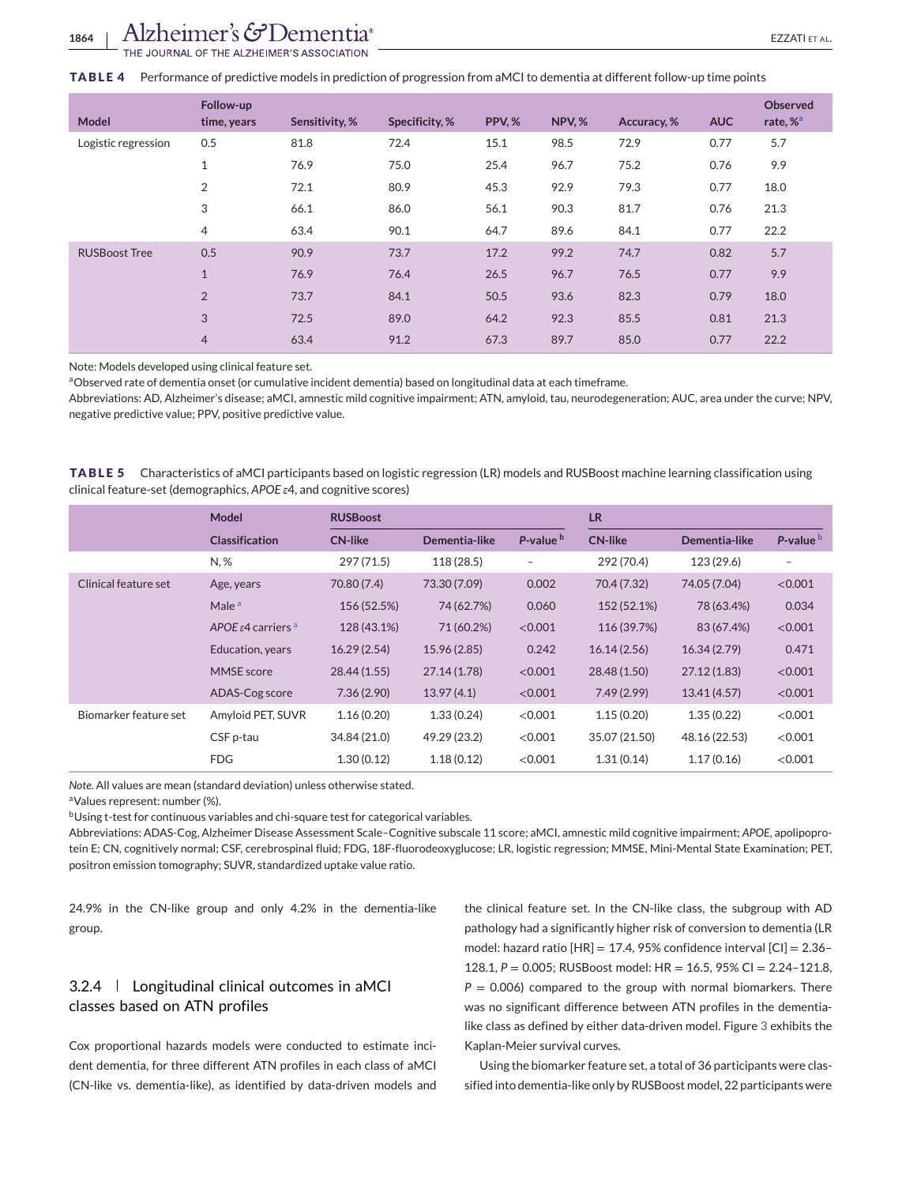#### <span id="page-9-0"></span>**TABLE 4** Performance of predictive models in prediction of progression from aMCI to dementia at different follow-up time points

| Model                | Follow-up<br>time, years | Sensitivity, % | Specificity, % | PPV,% | <b>NPV, %</b> | Accuracy, % | <b>AUC</b> | <b>Observed</b><br>rate, % <sup>a</sup> |
|----------------------|--------------------------|----------------|----------------|-------|---------------|-------------|------------|-----------------------------------------|
| Logistic regression  | 0.5                      | 81.8           | 72.4           | 15.1  | 98.5          | 72.9        | 0.77       | 5.7                                     |
|                      | $\mathbf{1}$             | 76.9           | 75.0           | 25.4  | 96.7          | 75.2        | 0.76       | 9.9                                     |
|                      | $\overline{2}$           | 72.1           | 80.9           | 45.3  | 92.9          | 79.3        | 0.77       | 18.0                                    |
|                      | 3                        | 66.1           | 86.0           | 56.1  | 90.3          | 81.7        | 0.76       | 21.3                                    |
|                      | 4                        | 63.4           | 90.1           | 64.7  | 89.6          | 84.1        | 0.77       | 22.2                                    |
| <b>RUSBoost Tree</b> | 0.5                      | 90.9           | 73.7           | 17.2  | 99.2          | 74.7        | 0.82       | 5.7                                     |
|                      | $\mathbf{1}$             | 76.9           | 76.4           | 26.5  | 96.7          | 76.5        | 0.77       | 9.9                                     |
|                      | $\overline{2}$           | 73.7           | 84.1           | 50.5  | 93.6          | 82.3        | 0.79       | 18.0                                    |
|                      | 3                        | 72.5           | 89.0           | 64.2  | 92.3          | 85.5        | 0.81       | 21.3                                    |
|                      | $\overline{4}$           | 63.4           | 91.2           | 67.3  | 89.7          | 85.0        | 0.77       | 22.2                                    |

Note: Models developed using clinical feature set.

aObserved rate of dementia onset (or cumulative incident dementia) based on longitudinal data at each timeframe.

Abbreviations: AD, Alzheimer's disease; aMCI, amnestic mild cognitive impairment; ATN, amyloid, tau, neurodegeneration; AUC, area under the curve; NPV, negative predictive value; PPV, positive predictive value.

**TABLE 5** Characteristics of aMCI participants based on logistic regression (LR) models and RUSBoost machine learning classification using clinical feature-set (demographics, *APOE ε*4, and cognitive scores)

|                       | <b>Model</b>                               | <b>RUSBoost</b> |               |                      | <b>LR</b>      |               |                      |  |
|-----------------------|--------------------------------------------|-----------------|---------------|----------------------|----------------|---------------|----------------------|--|
|                       | <b>Classification</b>                      | <b>CN-like</b>  | Dementia-like | P-value <sup>b</sup> | <b>CN-like</b> | Dementia-like | P-value <sup>b</sup> |  |
|                       | N, %                                       | 297 (71.5)      | 118 (28.5)    | $\qquad \qquad -$    | 292 (70.4)     | 123 (29.6)    | -                    |  |
| Clinical feature set  | Age, years                                 | 70.80 (7.4)     | 73.30 (7.09)  | 0.002                | 70.4 (7.32)    | 74.05 (7.04)  | < 0.001              |  |
|                       | Male <sup>a</sup>                          | 156 (52.5%)     | 74 (62.7%)    | 0.060                | 152 (52.1%)    | 78 (63.4%)    | 0.034                |  |
|                       | APOE $\varepsilon$ 4 carriers <sup>a</sup> | 128 (43.1%)     | 71 (60.2%)    | < 0.001              | 116 (39.7%)    | 83 (67.4%)    | < 0.001              |  |
|                       | Education, years                           | 16.29(2.54)     | 15.96 (2.85)  | 0.242                | 16.14(2.56)    | 16.34(2.79)   | 0.471                |  |
|                       | <b>MMSE</b> score                          | 28.44 (1.55)    | 27.14 (1.78)  | < 0.001              | 28.48 (1.50)   | 27.12(1.83)   | < 0.001              |  |
|                       | ADAS-Cog score                             | 7.36(2.90)      | 13.97(4.1)    | < 0.001              | 7.49(2.99)     | 13.41(4.57)   | < 0.001              |  |
| Biomarker feature set | Amyloid PET, SUVR                          | 1.16(0.20)      | 1.33(0.24)    | < 0.001              | 1.15(0.20)     | 1.35(0.22)    | < 0.001              |  |
|                       | CSF p-tau                                  | 34.84 (21.0)    | 49.29 (23.2)  | < 0.001              | 35.07 (21.50)  | 48.16 (22.53) | < 0.001              |  |
|                       | <b>FDG</b>                                 | 1.30(0.12)      | 1.18(0.12)    | < 0.001              | 1.31(0.14)     | 1.17(0.16)    | < 0.001              |  |

*Note*. All values are mean (standard deviation) unless otherwise stated.

aValues represent: number (%).

bUsing t-test for continuous variables and chi-square test for categorical variables.

Abbreviations: ADAS-Cog, Alzheimer Disease Assessment Scale–Cognitive subscale 11 score; aMCI, amnestic mild cognitive impairment; *APOE*, apolipoprotein E; CN, cognitively normal; CSF, cerebrospinal fluid; FDG, 18F-fluorodeoxyglucose; LR, logistic regression; MMSE, Mini-Mental State Examination; PET, positron emission tomography; SUVR, standardized uptake value ratio.

24.9% in the CN-like group and only 4.2% in the dementia-like group.

# 3.2.4 Longitudinal clinical outcomes in aMCI classes based on ATN profiles

Cox proportional hazards models were conducted to estimate incident dementia, for three different ATN profiles in each class of aMCI (CN-like vs. dementia-like), as identified by data-driven models and

the clinical feature set. In the CN-like class, the subgroup with AD pathology had a significantly higher risk of conversion to dementia (LR model: hazard ratio  $[HR] = 17.4$ , 95% confidence interval  $[CI] = 2.36 -$ 128.1, *P* = 0.005; RUSBoost model: HR = 16.5, 95% CI = 2.24–121.8,  $P = 0.006$ ) compared to the group with normal biomarkers. There was no significant difference between ATN profiles in the dementialike class as defined by either data-driven model. Figure [3](#page-11-0) exhibits the Kaplan-Meier survival curves.

Using the biomarker feature set, a total of 36 participants were classified into dementia-like only by RUSBoost model, 22 participants were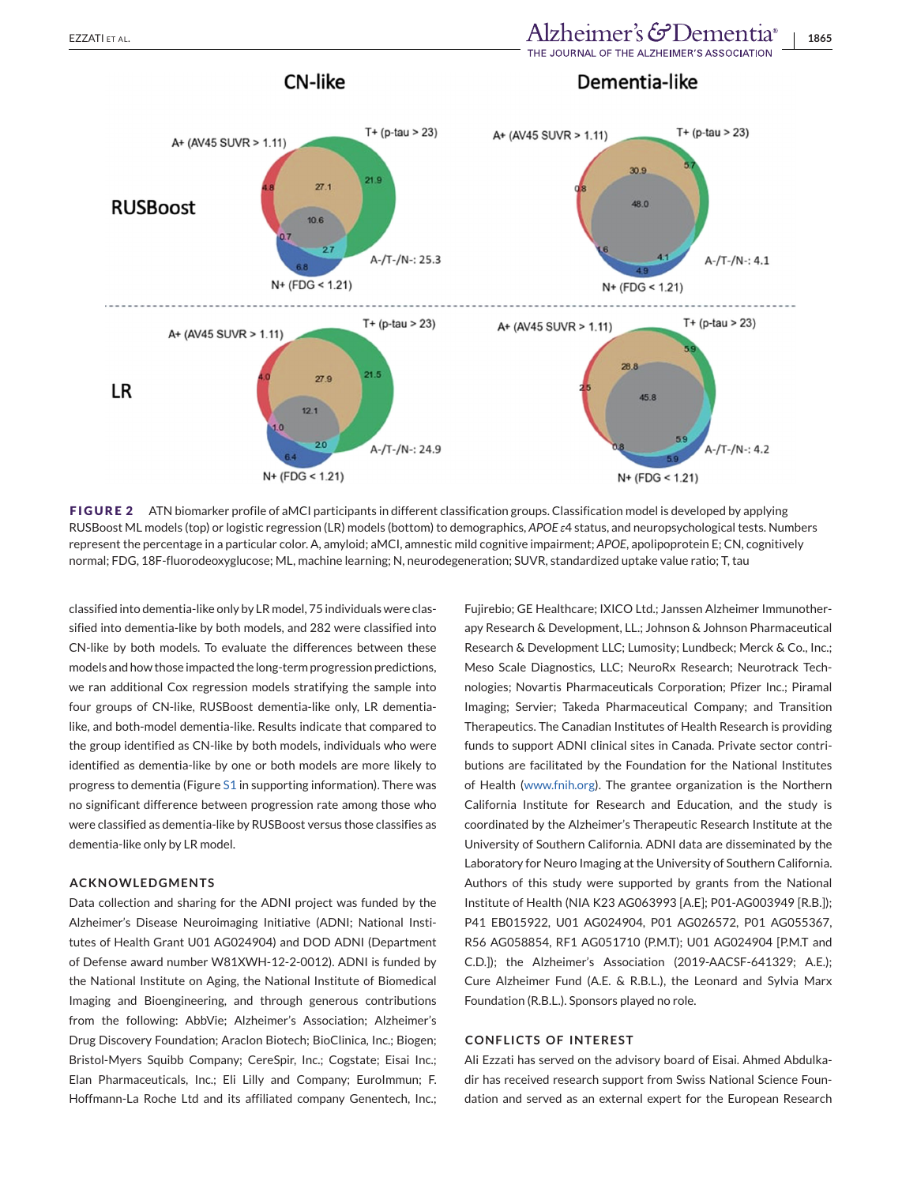# <span id="page-10-0"></span>EZZATI ET AL. **1865**<br>**Alzheimer's & Dementia**® | 1865

### Dementia-like



**CN-like** 

**FIGURE 2** ATN biomarker profile of aMCI participants in different classification groups. Classification model is developed by applying RUSBoost ML models (top) or logistic regression (LR) models (bottom) to demographics, *APOE ε*4 status, and neuropsychological tests. Numbers represent the percentage in a particular color. A, amyloid; aMCI, amnestic mild cognitive impairment; *APOE*, apolipoprotein E; CN, cognitively normal; FDG, 18F-fluorodeoxyglucose; ML, machine learning; N, neurodegeneration; SUVR, standardized uptake value ratio; T, tau

classified into dementia-like only by LR model, 75 individuals were classified into dementia-like by both models, and 282 were classified into CN-like by both models. To evaluate the differences between these models and how those impacted the long-term progression predictions, we ran additional Cox regression models stratifying the sample into four groups of CN-like, RUSBoost dementia-like only, LR dementialike, and both-model dementia-like. Results indicate that compared to the group identified as CN-like by both models, individuals who were identified as dementia-like by one or both models are more likely to progress to dementia (Figure S1 in supporting information). There was no significant difference between progression rate among those who were classified as dementia-like by RUSBoost versus those classifies as dementia-like only by LR model.

#### **ACKNOWLEDGMENTS**

Data collection and sharing for the ADNI project was funded by the Alzheimer's Disease Neuroimaging Initiative (ADNI; National Institutes of Health Grant U01 AG024904) and DOD ADNI (Department of Defense award number W81XWH-12-2-0012). ADNI is funded by the National Institute on Aging, the National Institute of Biomedical Imaging and Bioengineering, and through generous contributions from the following: AbbVie; Alzheimer's Association; Alzheimer's Drug Discovery Foundation; Araclon Biotech; BioClinica, Inc.; Biogen; Bristol-Myers Squibb Company; CereSpir, Inc.; Cogstate; Eisai Inc.; Elan Pharmaceuticals, Inc.; Eli Lilly and Company; EuroImmun; F. Hoffmann-La Roche Ltd and its affiliated company Genentech, Inc.;

Fujirebio; GE Healthcare; IXICO Ltd.; Janssen Alzheimer Immunotherapy Research & Development, LL.; Johnson & Johnson Pharmaceutical Research & Development LLC; Lumosity; Lundbeck; Merck & Co., Inc.; Meso Scale Diagnostics, LLC; NeuroRx Research; Neurotrack Technologies; Novartis Pharmaceuticals Corporation; Pfizer Inc.; Piramal Imaging; Servier; Takeda Pharmaceutical Company; and Transition Therapeutics. The Canadian Institutes of Health Research is providing funds to support ADNI clinical sites in Canada. Private sector contributions are facilitated by the Foundation for the National Institutes of Health [\(www.fnih.org\)](http://www.fnih.org). The grantee organization is the Northern California Institute for Research and Education, and the study is coordinated by the Alzheimer's Therapeutic Research Institute at the University of Southern California. ADNI data are disseminated by the Laboratory for Neuro Imaging at the University of Southern California. Authors of this study were supported by grants from the National Institute of Health (NIA K23 AG063993 [A.E]; P01-AG003949 [R.B.]); P41 EB015922, U01 AG024904, P01 AG026572, P01 AG055367, R56 AG058854, RF1 AG051710 (P.M.T); U01 AG024904 [P.M.T and C.D.]); the Alzheimer's Association (2019-AACSF-641329; A.E.); Cure Alzheimer Fund (A.E. & R.B.L.), the Leonard and Sylvia Marx Foundation (R.B.L.). Sponsors played no role.

#### **CONFLICTS OF INTEREST**

Ali Ezzati has served on the advisory board of Eisai. Ahmed Abdulkadir has received research support from Swiss National Science Foundation and served as an external expert for the European Research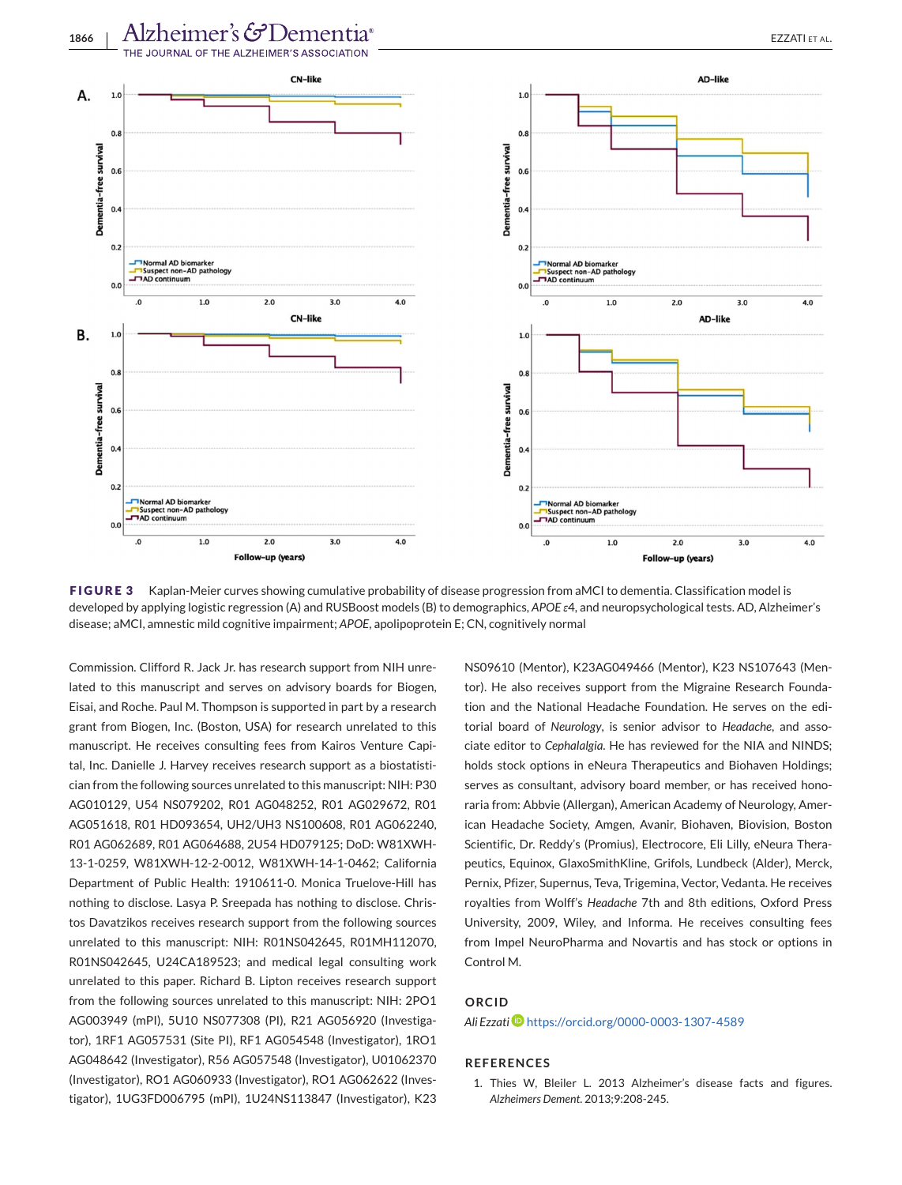<span id="page-11-0"></span>

**FIGURE 3** Kaplan-Meier curves showing cumulative probability of disease progression from aMCI to dementia. Classification model is developed by applying logistic regression (A) and RUSBoost models (B) to demographics, *APOE ε*4, and neuropsychological tests. AD, Alzheimer's disease; aMCI, amnestic mild cognitive impairment; *APOE*, apolipoprotein E; CN, cognitively normal

Commission. Clifford R. Jack Jr. has research support from NIH unrelated to this manuscript and serves on advisory boards for Biogen, Eisai, and Roche. Paul M. Thompson is supported in part by a research grant from Biogen, Inc. (Boston, USA) for research unrelated to this manuscript. He receives consulting fees from Kairos Venture Capital, Inc. Danielle J. Harvey receives research support as a biostatistician from the following sources unrelated to this manuscript: NIH: P30 AG010129, U54 NS079202, R01 AG048252, R01 AG029672, R01 AG051618, R01 HD093654, UH2/UH3 NS100608, R01 AG062240, R01 AG062689, R01 AG064688, 2U54 HD079125; DoD: W81XWH-13-1-0259, W81XWH-12-2-0012, W81XWH-14-1-0462; California Department of Public Health: 1910611-0. Monica Truelove-Hill has nothing to disclose. Lasya P. Sreepada has nothing to disclose. Christos Davatzikos receives research support from the following sources unrelated to this manuscript: NIH: R01NS042645, R01MH112070, R01NS042645, U24CA189523; and medical legal consulting work unrelated to this paper. Richard B. Lipton receives research support from the following sources unrelated to this manuscript: NIH: 2PO1 AG003949 (mPI), 5U10 NS077308 (PI), R21 AG056920 (Investigator), 1RF1 AG057531 (Site PI), RF1 AG054548 (Investigator), 1RO1 AG048642 (Investigator), R56 AG057548 (Investigator), U01062370 (Investigator), RO1 AG060933 (Investigator), RO1 AG062622 (Investigator), 1UG3FD006795 (mPI), 1U24NS113847 (Investigator), K23 NS09610 (Mentor), K23AG049466 (Mentor), K23 NS107643 (Mentor). He also receives support from the Migraine Research Foundation and the National Headache Foundation. He serves on the editorial board of *Neurology*, is senior advisor to *Headache*, and associate editor to *Cephalalgia*. He has reviewed for the NIA and NINDS; holds stock options in eNeura Therapeutics and Biohaven Holdings; serves as consultant, advisory board member, or has received honoraria from: Abbvie (Allergan), American Academy of Neurology, American Headache Society, Amgen, Avanir, Biohaven, Biovision, Boston Scientific, Dr. Reddy's (Promius), Electrocore, Eli Lilly, eNeura Therapeutics, Equinox, GlaxoSmithKline, Grifols, Lundbeck (Alder), Merck, Pernix, Pfizer, Supernus, Teva, Trigemina, Vector, Vedanta. He receives royalties from Wolff's *Headache* 7th and 8th editions, Oxford Press University, 2009, Wiley, and Informa. He receives consulting fees from Impel NeuroPharma and Novartis and has stock or options in Control M.

#### **ORCID**

#### *Ali Ezzati* <https://orcid.org/0000-0003-1307-4589>

#### **REFERENCES**

1. Thies W, Bleiler L. 2013 Alzheimer's disease facts and figures. *Alzheimers Dement*. 2013;9:208-245.